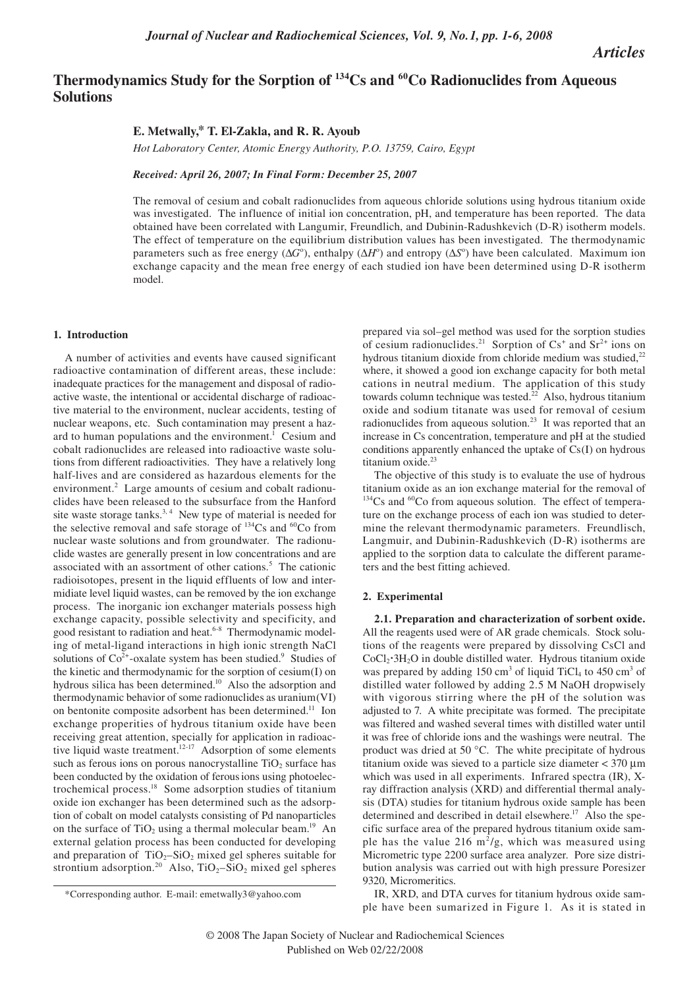*Articles*

# Thermodynamics Study for the Sorption of <sup>134</sup>Cs and <sup>60</sup>Co Radionuclides from Aqueous **Solutions**

## **E. Metwally,\* T. El-Zakla, and R. R. Ayoub**

*Hot Laboratory Center, Atomic Energy Authority, P.O. 13759, Cairo, Egypt*

*Received: April 26, 2007; In Final Form: December 25, 2007*

The removal of cesium and cobalt radionuclides from aqueous chloride solutions using hydrous titanium oxide was investigated. The influence of initial ion concentration, pH, and temperature has been reported. The data obtained have been correlated with Langumir, Freundlich, and Dubinin-Radushkevich (D-R) isotherm models. The effect of temperature on the equilibrium distribution values has been investigated. The thermodynamic parameters such as free energy ( $\Delta G^{\circ}$ ), enthalpy ( $\Delta H^{\circ}$ ) and entropy ( $\Delta S^{\circ}$ ) have been calculated. Maximum ion exchange capacity and the mean free energy of each studied ion have been determined using D-R isotherm model.

#### **1. Introduction**

A number of activities and events have caused significant radioactive contamination of different areas, these include: inadequate practices for the management and disposal of radioactive waste, the intentional or accidental discharge of radioactive material to the environment, nuclear accidents, testing of nuclear weapons, etc. Such contamination may present a hazard to human populations and the environment.<sup>1</sup> Cesium and cobalt radionuclides are released into radioactive waste solutions from different radioactivities. They have a relatively long half-lives and are considered as hazardous elements for the environment.<sup>2</sup> Large amounts of cesium and cobalt radionuclides have been released to the subsurface from the Hanford site waste storage tanks.<sup>3, 4</sup> New type of material is needed for the selective removal and safe storage of  $134$ Cs and  $60$ Co from nuclear waste solutions and from groundwater. The radionuclide wastes are generally present in low concentrations and are associated with an assortment of other cations.<sup>5</sup> The cationic radioisotopes, present in the liquid effluents of low and intermidiate level liquid wastes, can be removed by the ion exchange process. The inorganic ion exchanger materials possess high exchange capacity, possible selectivity and specificity, and good resistant to radiation and heat.<sup>6-8</sup> Thermodynamic modeling of metal-ligand interactions in high ionic strength NaCl solutions of  $Co<sup>2+</sup>$ -oxalate system has been studied.<sup>9</sup> Studies of the kinetic and thermodynamic for the sorption of cesium(I) on hydrous silica has been determined.<sup>10</sup> Also the adsorption and thermodynamic behavior of some radionuclides as uranium(VI) on bentonite composite adsorbent has been determined.<sup>11</sup> Ion exchange properities of hydrous titanium oxide have been receiving great attention, specially for application in radioactive liquid waste treatment.<sup>12-17</sup> Adsorption of some elements such as ferous ions on porous nanocrystalline  $TiO<sub>2</sub>$  surface has been conducted by the oxidation of ferousions using photoelectrochemical process.18 Some adsorption studies of titanium oxide ion exchanger has been determined such as the adsorption of cobalt on model catalysts consisting of Pd nanoparticles on the surface of  $TiO<sub>2</sub>$  using a thermal molecular beam.<sup>19</sup> An external gelation process has been conducted for developing and preparation of  $TiO<sub>2</sub>-SiO<sub>2</sub>$  mixed gel spheres suitable for strontium adsorption.<sup>20</sup> Also, TiO<sub>2</sub>–SiO<sub>2</sub> mixed gel spheres

prepared via sol–gel method was used for the sorption studies of cesium radionuclides.<sup>21</sup> Sorption of  $Cs^+$  and  $Sr^{2+}$  ions on hydrous titanium dioxide from chloride medium was studied,<sup>22</sup> where, it showed a good ion exchange capacity for both metal cations in neutral medium. The application of this study towards column technique was tested. $^{22}$  Also, hydrous titanium oxide and sodium titanate was used for removal of cesium radionuclides from aqueous solution.<sup>23</sup> It was reported that an increase in Cs concentration, temperature and pH at the studied conditions apparently enhanced the uptake of Cs(I) on hydrous titanium oxide.<sup>23</sup>

The objective of this study is to evaluate the use of hydrous titanium oxide as an ion exchange material for the removal of  $134$ Cs and  $60$ Co from aqueous solution. The effect of temperature on the exchange process of each ion was studied to determine the relevant thermodynamic parameters. Freundlisch, Langmuir, and Dubinin-Radushkevich (D-R) isotherms are applied to the sorption data to calculate the different parameters and the best fitting achieved.

## **2. Experimental**

**2.1. Preparation and characterization of sorbent oxide.**  All the reagents used were of AR grade chemicals. Stock solutions of the reagents were prepared by dissolving CsCl and CoCl2 .3H2O in double distilled water. Hydrous titanium oxide was prepared by adding  $150 \text{ cm}^3$  of liquid TiCl<sub>4</sub> to  $450 \text{ cm}^3$  of distilled water followed by adding 2.5 M NaOH dropwisely with vigorous stirring where the pH of the solution was adjusted to 7. A white precipitate was formed. The precipitate was filtered and washed several times with distilled water until it was free of chloride ions and the washings were neutral. The product was dried at 50 °C. The white precipitate of hydrous titanium oxide was sieved to a particle size diameter < 370 µm which was used in all experiments. Infrared spectra (IR), Xray diffraction analysis (XRD) and differential thermal analysis (DTA) studies for titanium hydrous oxide sample has been determined and described in detail elsewhere.<sup>17</sup> Also the specific surface area of the prepared hydrous titanium oxide sample has the value 216  $m^2/g$ , which was measured using Micrometric type 2200 surface area analyzer. Pore size distribution analysis was carried out with high pressure Poresizer 9320, Micromeritics.

IR, XRD, and DTA curves for titanium hydrous oxide sample have been sumarized in Figure 1. As it is stated in

<sup>\*</sup>Corresponding author. E-mail: emetwally3@yahoo.com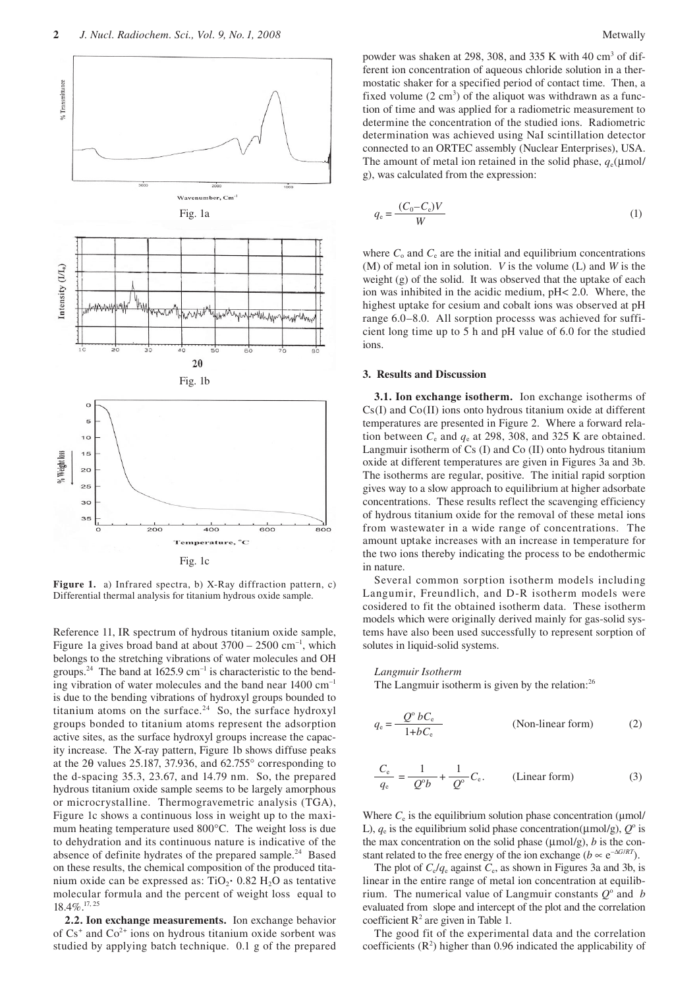

**Figure 1.** a) Infrared spectra, b) X-Ray diffraction pattern, c) Differential thermal analysis for titanium hydrous oxide sample.

Reference 11, IR spectrum of hydrous titanium oxide sample, Figure 1a gives broad band at about  $3700 - 2500$  cm<sup>-1</sup>, which belongs to the stretching vibrations of water molecules and OH groups.<sup>24</sup> The band at 1625.9 cm<sup>-1</sup> is characteristic to the bending vibration of water molecules and the band near 1400 cm<sup>-1</sup> is due to the bending vibrations of hydroxyl groups bounded to titanium atoms on the surface. $24$  So, the surface hydroxyl groups bonded to titanium atoms represent the adsorption active sites, as the surface hydroxyl groups increase the capacity increase. The X-ray pattern, Figure 1b shows diffuse peaks at the 2θ values 25.187, 37.936, and 62.755° corresponding to the d-spacing 35.3, 23.67, and 14.79 nm. So, the prepared hydrous titanium oxide sample seems to be largely amorphous or microcrystalline. Thermogravemetric analysis (TGA), Figure 1c shows a continuous loss in weight up to the maximum heating temperature used 800°C. The weight loss is due to dehydration and its continuous nature is indicative of the absence of definite hydrates of the prepared sample.<sup>24</sup> Based on these results, the chemical composition of the produced titaon these results, the chemical composition of the produced tha-<br>nium oxide can be expressed as:  $TiO<sub>2</sub>$ <sup>+</sup>  $0.82 H<sub>2</sub>O$  as tentative molecular formula and the percent of weight loss equal to 18.4%.17, 25

**2.2. Ion exchange measurements.** Ion exchange behavior of  $Cs^+$  and  $Co^{2+}$  ions on hydrous titanium oxide sorbent was studied by applying batch technique. 0.1 g of the prepared

powder was shaken at 298, 308, and 335 K with 40  $\text{cm}^3$  of different ion concentration of aqueous chloride solution in a thermostatic shaker for a specified period of contact time. Then, a fixed volume  $(2 \text{ cm}^3)$  of the aliquot was withdrawn as a function of time and was applied for a radiometric measurement to determine the concentration of the studied ions. Radiometric determination was achieved using NaI scintillation detector connected to an ORTEC assembly (Nuclear Enterprises), USA. The amount of metal ion retained in the solid phase,  $q_e(\mu m o l/m$ g), was calculated from the expression:

$$
q_{\rm e} = \frac{(C_0 - C_{\rm e})V}{W} \tag{1}
$$

where  $C_0$  and  $C_e$  are the initial and equilibrium concentrations (M) of metal ion in solution. *V* is the volume (L) and *W* is the weight (g) of the solid. It was observed that the uptake of each ion was inhibited in the acidic medium, pH< 2.0. Where, the highest uptake for cesium and cobalt ions was observed at pH range 6.0–8.0. All sorption processs was achieved for sufficient long time up to 5 h and pH value of 6.0 for the studied ions.

#### **3. Results and Discussion**

**3.1. Ion exchange isotherm.** Ion exchange isotherms of Cs(I) and Co(II) ions onto hydrous titanium oxide at different temperatures are presented in Figure 2. Where a forward relation between  $C_e$  and  $q_e$  at 298, 308, and 325 K are obtained. Langmuir isotherm of Cs (I) and Co (II) onto hydrous titanium oxide at different temperatures are given in Figures 3a and 3b. The isotherms are regular, positive. The initial rapid sorption gives way to a slow approach to equilibrium at higher adsorbate concentrations. These results reflect the scavenging efficiency of hydrous titanium oxide for the removal of these metal ions from wastewater in a wide range of concentrations. The amount uptake increases with an increase in temperature for the two ions thereby indicating the process to be endothermic in nature.

Several common sorption isotherm models including Langumir, Freundlich, and D-R isotherm models were cosidered to fit the obtained isotherm data. These isotherm models which were originally derived mainly for gas-solid systems have also been used successfully to represent sorption of solutes in liquid-solid systems.

#### *Langmuir Isotherm*

The Langmuir isotherm is given by the relation:<sup>26</sup>

$$
q_e = \frac{Q^{\circ} b C_e}{1 + b C_e}
$$
 (Non-linear form) (2)

$$
\frac{C_{\rm e}}{q_{\rm e}} = \frac{1}{Q^{\circ}b} + \frac{1}{Q^{\circ}}C_{\rm e}.
$$
 (Linear form) (3)

Where  $C_e$  is the equilibrium solution phase concentration ( $\mu$ mol/ L),  $q_e$  is the equilibrium solid phase concentration( $\mu$ mol/g),  $Q^{\circ}$  is the max concentration on the solid phase  $(\mu \text{mol/g})$ , *b* is the constant related to the free energy of the ion exchange ( $b \propto e^{-\Delta G/RT}$ ).

The plot of  $C_e/q_e$  against  $C_e$ , as shown in Figures 3a and 3b, is linear in the entire range of metal ion concentration at equilibrium. The numerical value of Langmuir constants  $Q^{\circ}$  and *b* evaluated from slope and intercept of the plot and the correlation coefficient  $R^2$  are given in Table 1.

The good fit of the experimental data and the correlation coefficients  $(R^2)$  higher than 0.96 indicated the applicability of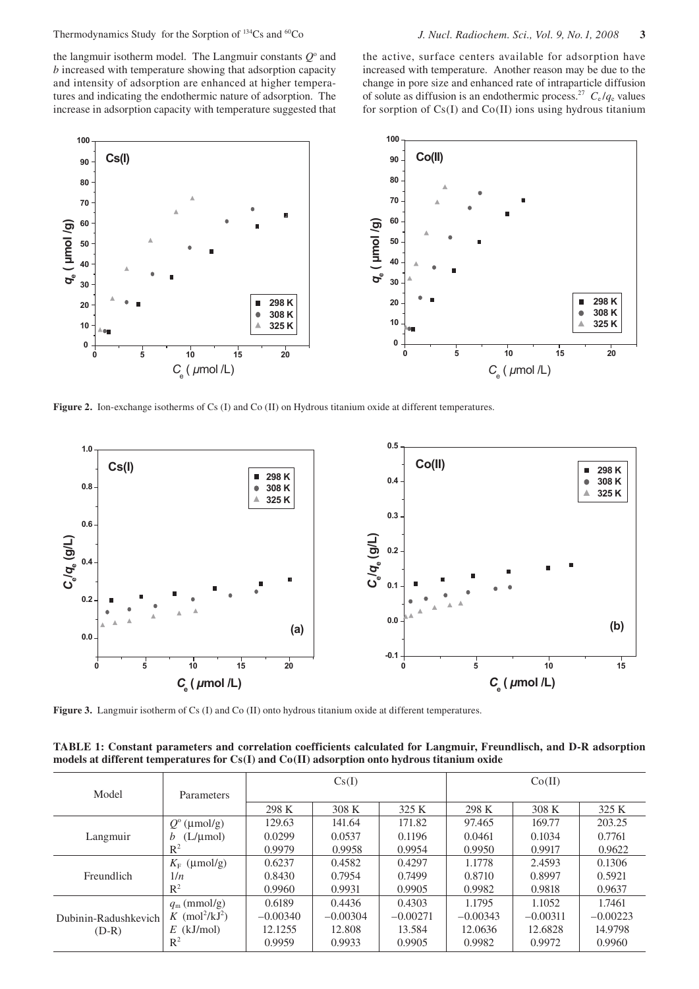Thermodynamics Study for the Sorption of 134Cs and 60Co *J. Nucl. Radiochem. Sci., Vol. 9, No. 1, 2008* **3**

the langmuir isotherm model. The Langmuir constants  $Q^{\circ}$  and *b* increased with temperature showing that adsorption capacity and intensity of adsorption are enhanced at higher temperatures and indicating the endothermic nature of adsorption. The increase in adsorption capacity with temperature suggested that

the active, surface centers available for adsorption have increased with temperature. Another reason may be due to the change in pore size and enhanced rate of intraparticle diffusion of solute as diffusion is an endothermic process.<sup>27</sup>  $C_e / q_e$  values for sorption of Cs(I) and Co(II) ions using hydrous titanium



**Figure 2.** Ion-exchange isotherms of Cs (I) and Co (II) on Hydrous titanium oxide at different temperatures.



Figure 3. Langmuir isotherm of Cs (I) and Co (II) onto hydrous titanium oxide at different temperatures.

**TABLE 1: Constant parameters and correlation coefficients calculated for Langmuir, Freundlisch, and D-R adsorption models at different temperatures for Cs(I) and Co(II) adsorption onto hydrous titanium oxide**

|                                 |                                        | Cs(I)      |            |            | Co(II)     |            |            |
|---------------------------------|----------------------------------------|------------|------------|------------|------------|------------|------------|
| Model                           | <b>Parameters</b>                      |            |            |            |            |            |            |
|                                 |                                        | 298 K      | 308 K      | 325 K      | 298 K      | 308 K      | 325 K      |
| Langmuir                        | $Q^{\circ}$ (µmol/g)                   | 129.63     | 141.64     | 171.82     | 97.465     | 169.77     | 203.25     |
|                                 | $(L/\mu$ mol)<br>b                     | 0.0299     | 0.0537     | 0.1196     | 0.0461     | 0.1034     | 0.7761     |
|                                 | $R^2$                                  | 0.9979     | 0.9958     | 0.9954     | 0.9950     | 0.9917     | 0.9622     |
| Freundlich                      | $K_{\rm F}$ (µmol/g)                   | 0.6237     | 0.4582     | 0.4297     | 1.1778     | 2.4593     | 0.1306     |
|                                 | 1/n                                    | 0.8430     | 0.7954     | 0.7499     | 0.8710     | 0.8997     | 0.5921     |
|                                 | $R^2$                                  | 0.9960     | 0.9931     | 0.9905     | 0.9982     | 0.9818     | 0.9637     |
| Dubinin-Radushkevich<br>$(D-R)$ | $q_{\rm m}$ (mmol/g)                   | 0.6189     | 0.4436     | 0.4303     | 1.1795     | 1.1052     | 1.7461     |
|                                 | K (mol <sup>2</sup> /kJ <sup>2</sup> ) | $-0.00340$ | $-0.00304$ | $-0.00271$ | $-0.00343$ | $-0.00311$ | $-0.00223$ |
|                                 | $E$ (kJ/mol)                           | 12.1255    | 12.808     | 13.584     | 12.0636    | 12.6828    | 14.9798    |
|                                 | $R^2$                                  | 0.9959     | 0.9933     | 0.9905     | 0.9982     | 0.9972     | 0.9960     |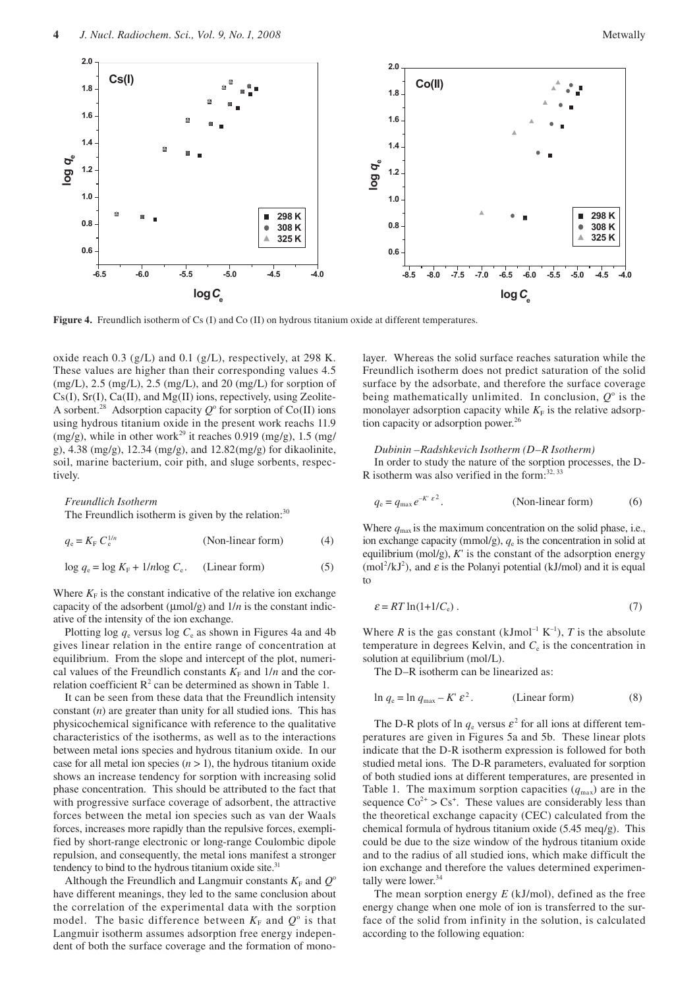

**Figure 4.** Freundlich isotherm of Cs (I) and Co (II) on hydrous titanium oxide at different temperatures.

oxide reach 0.3 (g/L) and 0.1 (g/L), respectively, at 298 K. These values are higher than their corresponding values 4.5  $(mg/L)$ , 2.5  $(mg/L)$ , 2.5  $(mg/L)$ , and 20  $(mg/L)$  for sorption of  $Cs(I), Sr(I), Ca(II), and Mg(II)$  ions, repectively, using Zeolite-A sorbent.<sup>28</sup> Adsorption capacity  $Q^{\circ}$  for sorption of Co(II) ions using hydrous titanium oxide in the present work reachs 11.9 (mg/g), while in other work<sup>29</sup> it reaches 0.919 (mg/g), 1.5 (mg/ g), 4.38 (mg/g), 12.34 (mg/g), and 12.82(mg/g) for dikaolinite, soil, marine bacterium, coir pith, and sluge sorbents, respectively.

#### *Freundlich Isotherm*

The Freundlich isotherm is given by the relation: $30$ 

 $q_e = K_E C_e^{1/n}$ 1/*<sup>n</sup>* (Non-linear form) (4)

 $\log q_e = \log K_F + 1/n \log C_e$ . (Linear form) (5)

Where  $K_F$  is the constant indicative of the relative ion exchange capacity of the adsorbent (µmol/g) and 1/*n* is the constant indicative of the intensity of the ion exchange.

Plotting  $\log q_e$  versus  $\log C_e$  as shown in Figures 4a and 4b gives linear relation in the entire range of concentration at equilibrium. From the slope and intercept of the plot, numerical values of the Freundlich constants  $K_F$  and  $1/n$  and the correlation coefficient  $\mathbb{R}^2$  can be determined as shown in Table 1.

It can be seen from these data that the Freundlich intensity constant (*n*) are greater than unity for all studied ions. This has physicochemical significance with reference to the qualitative characteristics of the isotherms, as well as to the interactions between metal ions species and hydrous titanium oxide. In our case for all metal ion species  $(n > 1)$ , the hydrous titanium oxide shows an increase tendency for sorption with increasing solid phase concentration. This should be attributed to the fact that with progressive surface coverage of adsorbent, the attractive forces between the metal ion species such as van der Waals forces, increases more rapidly than the repulsive forces, exemplified by short-range electronic or long-range Coulombic dipole repulsion, and consequently, the metal ions manifest a stronger tendency to bind to the hydrous titanium oxide site.<sup>31</sup>

Although the Freundlich and Langmuir constants  $K_F$  and  $Q^{\circ}$ have different meanings, they led to the same conclusion about the correlation of the experimental data with the sorption model. The basic difference between  $K_F$  and  $Q^{\circ}$  is that Langmuir isotherm assumes adsorption free energy independent of both the surface coverage and the formation of monolayer. Whereas the solid surface reaches saturation while the Freundlich isotherm does not predict saturation of the solid surface by the adsorbate, and therefore the surface coverage being mathematically unlimited. In conclusion,  $Q^{\circ}$  is the monolayer adsorption capacity while  $K_F$  is the relative adsorption capacity or adsorption power.<sup>26</sup>

#### *Dubinin –Radshkevich Isotherm (D–R Isotherm)*

In order to study the nature of the sorption processes, the D-R isotherm was also verified in the form: $32, 33$ 

$$
q_e = q_{\text{max}} e^{-K' \varepsilon^2}.
$$
 (Non-linear form) (6)

Where  $q_{\text{max}}$  is the maximum concentration on the solid phase, i.e., ion exchange capacity (mmol/g),  $q_e$  is the concentration in solid at equilibrium (mol/g),  $K'$  is the constant of the adsorption energy  $(mol<sup>2</sup>/kJ<sup>2</sup>)$ , and  $\varepsilon$  is the Polanyi potential (kJ/mol) and it is equal to

$$
\varepsilon = RT \ln(1 + 1/C_e) \tag{7}
$$

Where *R* is the gas constant (kJmol<sup>-1</sup> K<sup>-1</sup>), *T* is the absolute temperature in degrees Kelvin, and  $C<sub>e</sub>$  is the concentration in solution at equilibrium (mol/L).

The D–R isotherm can be linearized as:

$$
\ln q_e = \ln q_{\text{max}} - K' \varepsilon^2. \qquad \text{(Linear form)} \tag{8}
$$

The D-R plots of ln  $q_e$  versus  $\varepsilon^2$  for all ions at different temperatures are given in Figures 5a and 5b. These linear plots indicate that the D-R isotherm expression is followed for both studied metal ions. The D-R parameters, evaluated for sorption of both studied ions at different temperatures, are presented in Table 1. The maximum sorption capacities  $(q_{\text{max}})$  are in the sequence  $\text{Co}^{2+} > \text{Cs}^+$ . These values are considerably less than the theoretical exchange capacity (CEC) calculated from the chemical formula of hydrous titanium oxide (5.45 meq/g). This could be due to the size window of the hydrous titanium oxide and to the radius of all studied ions, which make difficult the ion exchange and therefore the values determined experimentally were lower.<sup>34</sup>

The mean sorption energy *E* (kJ/mol), defined as the free energy change when one mole of ion is transferred to the surface of the solid from infinity in the solution, is calculated according to the following equation: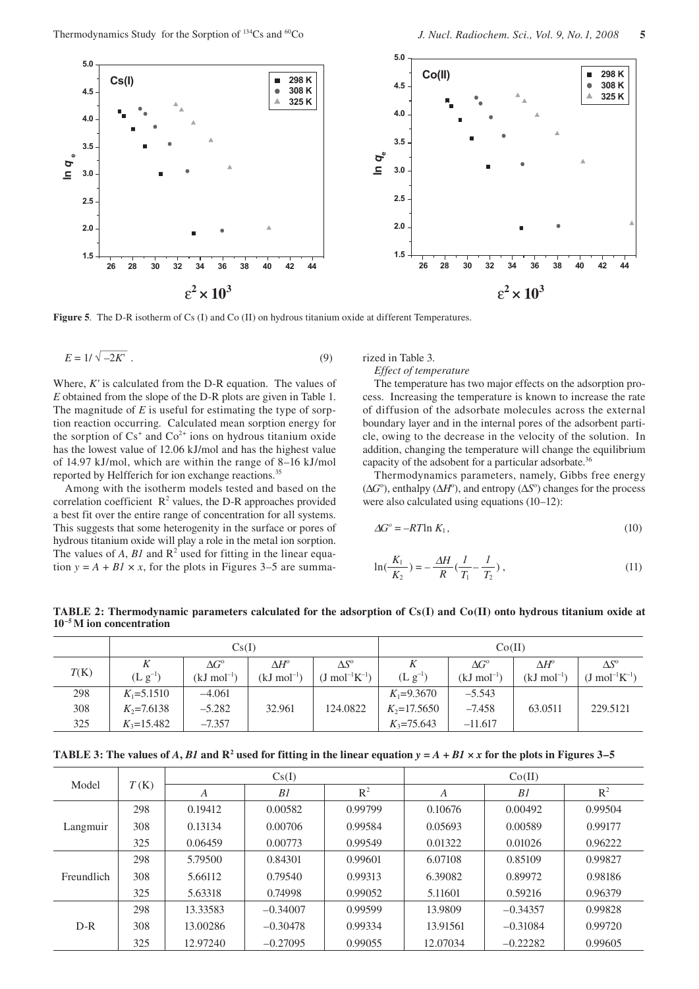

**Figure 5**. The D-R isotherm of Cs (I) and Co (II) on hydrous titanium oxide at different Temperatures.

$$
E = 1/\sqrt{-2K'}.
$$
\n(9)

Where, *K'* is calculated from the D-R equation. The values of *E* obtained from the slope of the D-R plots are given in Table 1. The magnitude of *E* is useful for estimating the type of sorption reaction occurring. Calculated mean sorption energy for the sorption of  $Cs^+$  and  $Co^{2+}$  ions on hydrous titanium oxide has the lowest value of 12.06 kJ/mol and has the highest value of 14.97 kJ/mol, which are within the range of 8–16 kJ/mol reported by Helfferich for ion exchange reactions.<sup>35</sup>

Among with the isotherm models tested and based on the correlation coefficient  $\mathbb{R}^2$  values, the D-R approaches provided a best fit over the entire range of concentration for all systems. This suggests that some heterogenity in the surface or pores of hydrous titanium oxide will play a role in the metal ion sorption. The values of  $A$ ,  $BI$  and  $\mathbb{R}^2$  used for fitting in the linear equation  $y = A + B1 \times x$ , for the plots in Figures 3–5 are summarized in Table 3.

*Effect of temperature*

The temperature has two major effects on the adsorption process. Increasing the temperature is known to increase the rate of diffusion of the adsorbate molecules across the external boundary layer and in the internal pores of the adsorbent particle, owing to the decrease in the velocity of the solution. In addition, changing the temperature will change the equilibrium capacity of the adsobent for a particular adsorbate.<sup>36</sup>

Thermodynamics parameters, namely, Gibbs free energy ( $\Delta G^{\circ}$ ), enthalpy ( $\Delta H^{\circ}$ ), and entropy ( $\Delta S^{\circ}$ ) changes for the process were also calculated using equations (10–12):

$$
\Delta G^{\circ} = -RT \ln K_1,\tag{10}
$$

$$
\ln(\frac{K_1}{K_2}) = -\frac{\Delta H}{R}(\frac{I}{T_1} - \frac{I}{T_2}),\tag{11}
$$

**TABLE 2: Thermodynamic parameters calculated for the adsorption of Cs(I) and Co(II) onto hydrous titanium oxide at 10–5 M ion concentration**

|      | Cs(I)          |                         |                         |                              | Co(II)         |                         |                         |                              |
|------|----------------|-------------------------|-------------------------|------------------------------|----------------|-------------------------|-------------------------|------------------------------|
|      |                | $\Delta G^{\circ}$      | $\Delta H^{\circ}$      | $\Delta S^{\rm o}$           |                | $\Delta G^{\circ}$      | $\Delta H^\text{o}$     | $\Delta S^{\circ}$           |
| T(K) | $(L g^{-1})$   | $(kJ \text{ mol}^{-1})$ | $(kJ \text{ mol}^{-1})$ | $(J \text{ mol}^{-1}K^{-1})$ | $(L g^{-1})$   | $(kJ \text{ mol}^{-1})$ | $(kJ \text{ mol}^{-1})$ | $(J \text{ mol}^{-1}K^{-1})$ |
| 298  | $K_1 = 5.1510$ | $-4.061$                |                         |                              | $K_1 = 9.3670$ | $-5.543$                |                         |                              |
| 308  | $K_2$ =7.6138  | $-5.282$                | 32.961                  | 124.0822                     | $K_2$ =17.5650 | $-7.458$                | 63.0511                 | 229.5121                     |
| 325  | $K_3 = 15.482$ | $-7.357$                |                         |                              | $K_3 = 75.643$ | $-11.617$               |                         |                              |

**TABLE 3:** The values of A, B1 and  $\mathbb{R}^2$  used for fitting in the linear equation  $y = A + B1 \times x$  for the plots in Figures 3–5

| Model      | T(K) |          | Cs(I)      |         | Co(II)   |            |                |  |
|------------|------|----------|------------|---------|----------|------------|----------------|--|
|            |      | А        | B1         | $R^2$   | A        | B1         | R <sup>2</sup> |  |
| Langmuir   | 298  | 0.19412  | 0.00582    | 0.99799 | 0.10676  | 0.00492    | 0.99504        |  |
|            | 308  | 0.13134  | 0.00706    | 0.99584 | 0.05693  | 0.00589    | 0.99177        |  |
|            | 325  | 0.06459  | 0.00773    | 0.99549 | 0.01322  | 0.01026    | 0.96222        |  |
| Freundlich | 298  | 5.79500  | 0.84301    | 0.99601 | 6.07108  | 0.85109    | 0.99827        |  |
|            | 308  | 5.66112  | 0.79540    | 0.99313 | 6.39082  | 0.89972    | 0.98186        |  |
|            | 325  | 5.63318  | 0.74998    | 0.99052 | 5.11601  | 0.59216    | 0.96379        |  |
| $D-R$      | 298  | 13.33583 | $-0.34007$ | 0.99599 | 13.9809  | $-0.34357$ | 0.99828        |  |
|            | 308  | 13.00286 | $-0.30478$ | 0.99334 | 13.91561 | $-0.31084$ | 0.99720        |  |
|            | 325  | 12.97240 | $-0.27095$ | 0.99055 | 12.07034 | $-0.22282$ | 0.99605        |  |